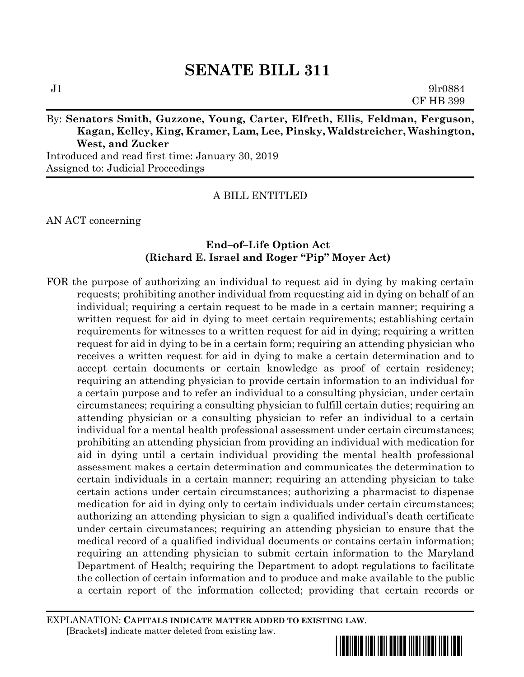# By: **Senators Smith, Guzzone, Young, Carter, Elfreth, Ellis, Feldman, Ferguson, Kagan, Kelley, King, Kramer, Lam, Lee, Pinsky, Waldstreicher, Washington, West, and Zucker**

Introduced and read first time: January 30, 2019 Assigned to: Judicial Proceedings

### A BILL ENTITLED

AN ACT concerning

### **End–of–Life Option Act (Richard E. Israel and Roger "Pip" Moyer Act)**

FOR the purpose of authorizing an individual to request aid in dying by making certain requests; prohibiting another individual from requesting aid in dying on behalf of an individual; requiring a certain request to be made in a certain manner; requiring a written request for aid in dying to meet certain requirements; establishing certain requirements for witnesses to a written request for aid in dying; requiring a written request for aid in dying to be in a certain form; requiring an attending physician who receives a written request for aid in dying to make a certain determination and to accept certain documents or certain knowledge as proof of certain residency; requiring an attending physician to provide certain information to an individual for a certain purpose and to refer an individual to a consulting physician, under certain circumstances; requiring a consulting physician to fulfill certain duties; requiring an attending physician or a consulting physician to refer an individual to a certain individual for a mental health professional assessment under certain circumstances; prohibiting an attending physician from providing an individual with medication for aid in dying until a certain individual providing the mental health professional assessment makes a certain determination and communicates the determination to certain individuals in a certain manner; requiring an attending physician to take certain actions under certain circumstances; authorizing a pharmacist to dispense medication for aid in dying only to certain individuals under certain circumstances; authorizing an attending physician to sign a qualified individual's death certificate under certain circumstances; requiring an attending physician to ensure that the medical record of a qualified individual documents or contains certain information; requiring an attending physician to submit certain information to the Maryland Department of Health; requiring the Department to adopt regulations to facilitate the collection of certain information and to produce and make available to the public a certain report of the information collected; providing that certain records or

EXPLANATION: **CAPITALS INDICATE MATTER ADDED TO EXISTING LAW**.  **[**Brackets**]** indicate matter deleted from existing law.

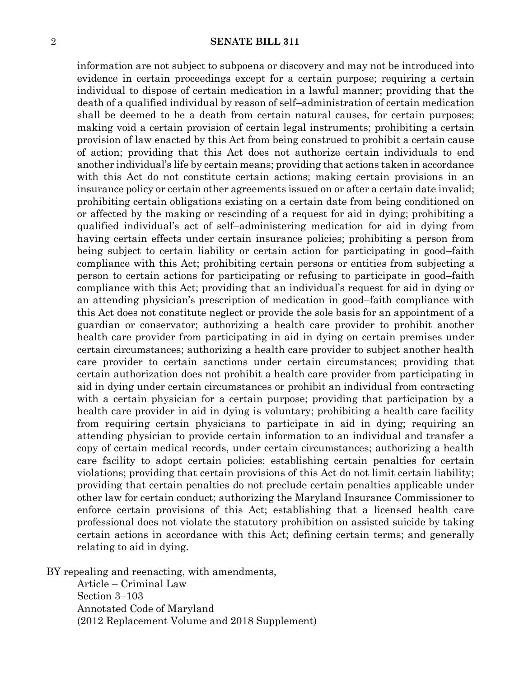information are not subject to subpoena or discovery and may not be introduced into evidence in certain proceedings except for a certain purpose; requiring a certain individual to dispose of certain medication in a lawful manner; providing that the death of a qualified individual by reason of self–administration of certain medication shall be deemed to be a death from certain natural causes, for certain purposes; making void a certain provision of certain legal instruments; prohibiting a certain provision of law enacted by this Act from being construed to prohibit a certain cause of action; providing that this Act does not authorize certain individuals to end another individual's life by certain means; providing that actions taken in accordance with this Act do not constitute certain actions; making certain provisions in an insurance policy or certain other agreements issued on or after a certain date invalid; prohibiting certain obligations existing on a certain date from being conditioned on or affected by the making or rescinding of a request for aid in dying; prohibiting a qualified individual's act of self–administering medication for aid in dying from having certain effects under certain insurance policies; prohibiting a person from being subject to certain liability or certain action for participating in good–faith compliance with this Act; prohibiting certain persons or entities from subjecting a person to certain actions for participating or refusing to participate in good–faith compliance with this Act; providing that an individual's request for aid in dying or an attending physician's prescription of medication in good–faith compliance with this Act does not constitute neglect or provide the sole basis for an appointment of a guardian or conservator; authorizing a health care provider to prohibit another health care provider from participating in aid in dying on certain premises under certain circumstances; authorizing a health care provider to subject another health care provider to certain sanctions under certain circumstances; providing that certain authorization does not prohibit a health care provider from participating in aid in dying under certain circumstances or prohibit an individual from contracting with a certain physician for a certain purpose; providing that participation by a health care provider in aid in dying is voluntary; prohibiting a health care facility from requiring certain physicians to participate in aid in dying; requiring an attending physician to provide certain information to an individual and transfer a copy of certain medical records, under certain circumstances; authorizing a health care facility to adopt certain policies; establishing certain penalties for certain violations; providing that certain provisions of this Act do not limit certain liability; providing that certain penalties do not preclude certain penalties applicable under other law for certain conduct; authorizing the Maryland Insurance Commissioner to enforce certain provisions of this Act; establishing that a licensed health care professional does not violate the statutory prohibition on assisted suicide by taking certain actions in accordance with this Act; defining certain terms; and generally relating to aid in dying.

BY repealing and reenacting, with amendments,

Article – Criminal Law Section 3–103 Annotated Code of Maryland (2012 Replacement Volume and 2018 Supplement)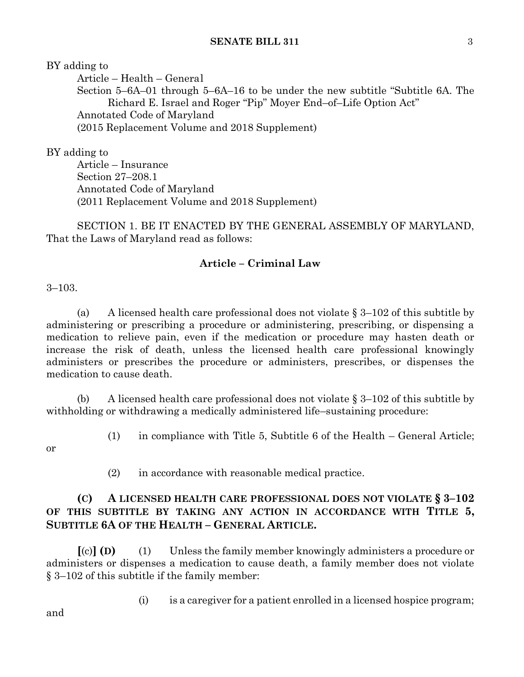BY adding to

Article – Health – General Section 5–6A–01 through 5–6A–16 to be under the new subtitle "Subtitle 6A. The Richard E. Israel and Roger "Pip" Moyer End–of–Life Option Act" Annotated Code of Maryland (2015 Replacement Volume and 2018 Supplement)

BY adding to

Article – Insurance Section 27–208.1 Annotated Code of Maryland (2011 Replacement Volume and 2018 Supplement)

SECTION 1. BE IT ENACTED BY THE GENERAL ASSEMBLY OF MARYLAND, That the Laws of Maryland read as follows:

### **Article – Criminal Law**

3–103.

(a) A licensed health care professional does not violate  $\S 3-102$  of this subtitle by administering or prescribing a procedure or administering, prescribing, or dispensing a medication to relieve pain, even if the medication or procedure may hasten death or increase the risk of death, unless the licensed health care professional knowingly administers or prescribes the procedure or administers, prescribes, or dispenses the medication to cause death.

(b) A licensed health care professional does not violate  $\S 3-102$  of this subtitle by withholding or withdrawing a medically administered life–sustaining procedure:

or

- (1) in compliance with Title 5, Subtitle 6 of the Health General Article;
- 
- (2) in accordance with reasonable medical practice.

### **(C) A LICENSED HEALTH CARE PROFESSIONAL DOES NOT VIOLATE § 3–102 OF THIS SUBTITLE BY TAKING ANY ACTION IN ACCORDANCE WITH TITLE 5, SUBTITLE 6A OF THE HEALTH – GENERAL ARTICLE.**

**[**(c)**] (D)** (1) Unless the family member knowingly administers a procedure or administers or dispenses a medication to cause death, a family member does not violate § 3–102 of this subtitle if the family member:

(i) is a caregiver for a patient enrolled in a licensed hospice program;

and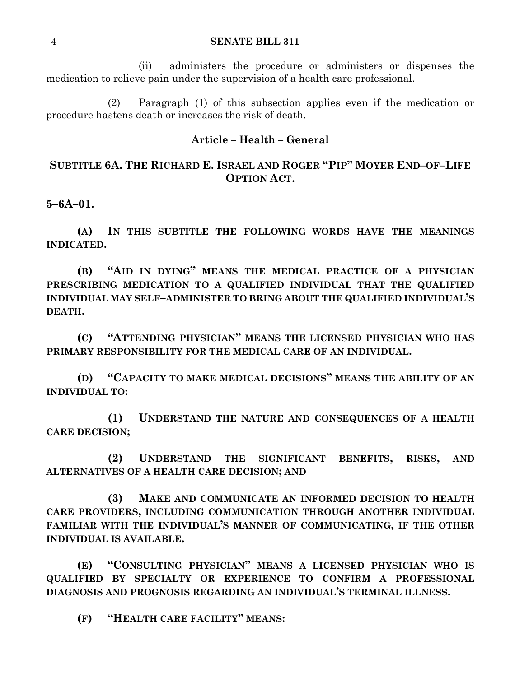(ii) administers the procedure or administers or dispenses the medication to relieve pain under the supervision of a health care professional.

(2) Paragraph (1) of this subsection applies even if the medication or procedure hastens death or increases the risk of death.

#### **Article – Health – General**

### SUBTITLE 6A. THE RICHARD E. ISRAEL AND ROGER "PIP" MOYER END-OF-LIFE **OPTION ACT.**

**5–6A–01.**

**(A) IN THIS SUBTITLE THE FOLLOWING WORDS HAVE THE MEANINGS INDICATED.**

**(B) "AID IN DYING" MEANS THE MEDICAL PRACTICE OF A PHYSICIAN PRESCRIBING MEDICATION TO A QUALIFIED INDIVIDUAL THAT THE QUALIFIED INDIVIDUAL MAY SELF–ADMINISTER TO BRING ABOUT THE QUALIFIED INDIVIDUAL'S DEATH.**

**(C) "ATTENDING PHYSICIAN" MEANS THE LICENSED PHYSICIAN WHO HAS PRIMARY RESPONSIBILITY FOR THE MEDICAL CARE OF AN INDIVIDUAL.**

**(D) "CAPACITY TO MAKE MEDICAL DECISIONS" MEANS THE ABILITY OF AN INDIVIDUAL TO:**

**(1) UNDERSTAND THE NATURE AND CONSEQUENCES OF A HEALTH CARE DECISION;**

**(2) UNDERSTAND THE SIGNIFICANT BENEFITS, RISKS, AND ALTERNATIVES OF A HEALTH CARE DECISION; AND** 

**(3) MAKE AND COMMUNICATE AN INFORMED DECISION TO HEALTH CARE PROVIDERS, INCLUDING COMMUNICATION THROUGH ANOTHER INDIVIDUAL FAMILIAR WITH THE INDIVIDUAL'S MANNER OF COMMUNICATING, IF THE OTHER INDIVIDUAL IS AVAILABLE.**

**(E) "CONSULTING PHYSICIAN" MEANS A LICENSED PHYSICIAN WHO IS QUALIFIED BY SPECIALTY OR EXPERIENCE TO CONFIRM A PROFESSIONAL DIAGNOSIS AND PROGNOSIS REGARDING AN INDIVIDUAL'S TERMINAL ILLNESS.**

**(F) "HEALTH CARE FACILITY" MEANS:**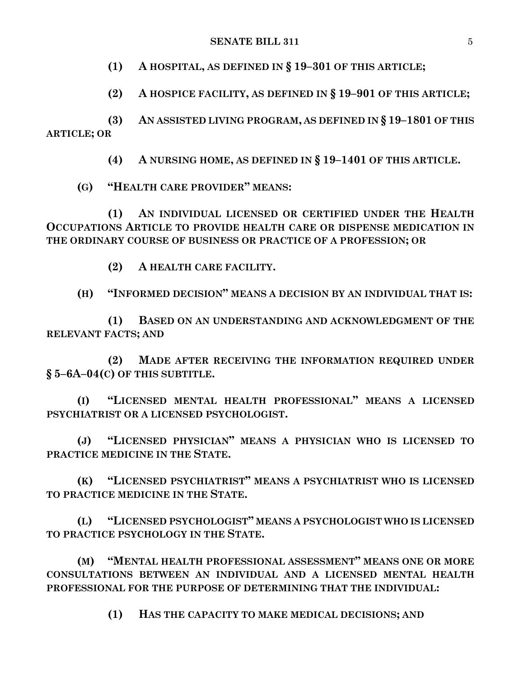#### **SENATE BILL 311** 5

**(1) A HOSPITAL, AS DEFINED IN § 19–301 OF THIS ARTICLE;**

**(2) A HOSPICE FACILITY, AS DEFINED IN § 19–901 OF THIS ARTICLE;**

**(3) AN ASSISTED LIVING PROGRAM, AS DEFINED IN § 19–1801 OF THIS ARTICLE; OR**

**(4) A NURSING HOME, AS DEFINED IN § 19–1401 OF THIS ARTICLE.**

**(G) "HEALTH CARE PROVIDER" MEANS:**

**(1) AN INDIVIDUAL LICENSED OR CERTIFIED UNDER THE HEALTH OCCUPATIONS ARTICLE TO PROVIDE HEALTH CARE OR DISPENSE MEDICATION IN THE ORDINARY COURSE OF BUSINESS OR PRACTICE OF A PROFESSION; OR**

**(2) A HEALTH CARE FACILITY.**

**(H) "INFORMED DECISION" MEANS A DECISION BY AN INDIVIDUAL THAT IS:**

**(1) BASED ON AN UNDERSTANDING AND ACKNOWLEDGMENT OF THE RELEVANT FACTS; AND** 

**(2) MADE AFTER RECEIVING THE INFORMATION REQUIRED UNDER § 5–6A–04(C) OF THIS SUBTITLE.**

**(I) "LICENSED MENTAL HEALTH PROFESSIONAL" MEANS A LICENSED PSYCHIATRIST OR A LICENSED PSYCHOLOGIST.**

**(J) "LICENSED PHYSICIAN" MEANS A PHYSICIAN WHO IS LICENSED TO PRACTICE MEDICINE IN THE STATE.**

**(K) "LICENSED PSYCHIATRIST" MEANS A PSYCHIATRIST WHO IS LICENSED TO PRACTICE MEDICINE IN THE STATE.**

**(L) "LICENSED PSYCHOLOGIST" MEANS A PSYCHOLOGIST WHO IS LICENSED TO PRACTICE PSYCHOLOGY IN THE STATE.**

**(M) "MENTAL HEALTH PROFESSIONAL ASSESSMENT" MEANS ONE OR MORE CONSULTATIONS BETWEEN AN INDIVIDUAL AND A LICENSED MENTAL HEALTH PROFESSIONAL FOR THE PURPOSE OF DETERMINING THAT THE INDIVIDUAL:**

**(1) HAS THE CAPACITY TO MAKE MEDICAL DECISIONS; AND**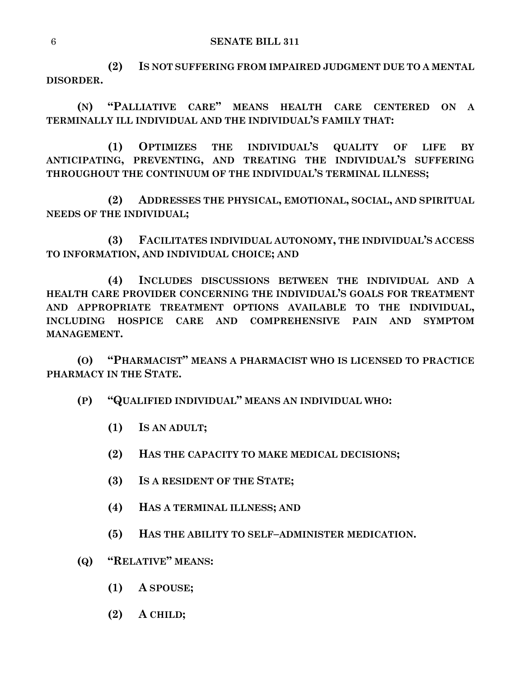**(2) IS NOT SUFFERING FROM IMPAIRED JUDGMENT DUE TO A MENTAL DISORDER.**

**(N) "PALLIATIVE CARE" MEANS HEALTH CARE CENTERED ON A TERMINALLY ILL INDIVIDUAL AND THE INDIVIDUAL'S FAMILY THAT:**

**(1) OPTIMIZES THE INDIVIDUAL'S QUALITY OF LIFE BY ANTICIPATING, PREVENTING, AND TREATING THE INDIVIDUAL'S SUFFERING THROUGHOUT THE CONTINUUM OF THE INDIVIDUAL'S TERMINAL ILLNESS;**

**(2) ADDRESSES THE PHYSICAL, EMOTIONAL, SOCIAL, AND SPIRITUAL NEEDS OF THE INDIVIDUAL;**

**(3) FACILITATES INDIVIDUAL AUTONOMY, THE INDIVIDUAL'S ACCESS TO INFORMATION, AND INDIVIDUAL CHOICE; AND**

**(4) INCLUDES DISCUSSIONS BETWEEN THE INDIVIDUAL AND A HEALTH CARE PROVIDER CONCERNING THE INDIVIDUAL'S GOALS FOR TREATMENT AND APPROPRIATE TREATMENT OPTIONS AVAILABLE TO THE INDIVIDUAL, INCLUDING HOSPICE CARE AND COMPREHENSIVE PAIN AND SYMPTOM MANAGEMENT.**

**(O) "PHARMACIST" MEANS A PHARMACIST WHO IS LICENSED TO PRACTICE PHARMACY IN THE STATE.**

### **(P) "QUALIFIED INDIVIDUAL" MEANS AN INDIVIDUAL WHO:**

- **(1) IS AN ADULT;**
- **(2) HAS THE CAPACITY TO MAKE MEDICAL DECISIONS;**
- **(3) IS A RESIDENT OF THE STATE;**
- **(4) HAS A TERMINAL ILLNESS; AND**
- **(5) HAS THE ABILITY TO SELF–ADMINISTER MEDICATION.**
- **(Q) "RELATIVE" MEANS:**
	- **(1) A SPOUSE;**
	- **(2) A CHILD;**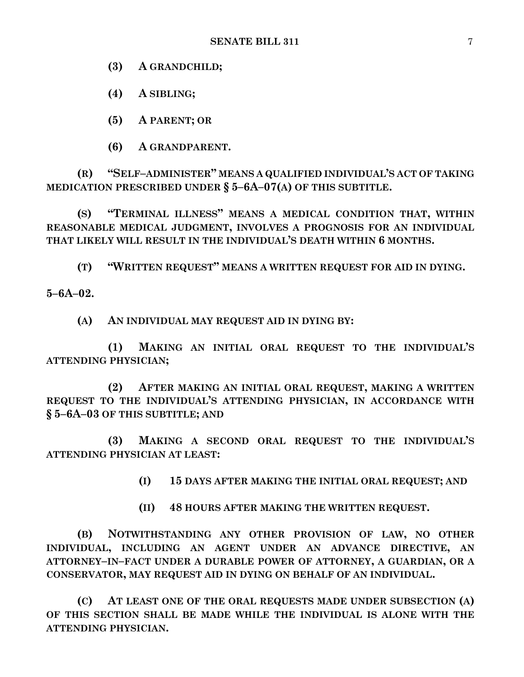**(3) A GRANDCHILD;**

**(4) A SIBLING;**

**(5) A PARENT; OR**

**(6) A GRANDPARENT.**

**(R) "SELF–ADMINISTER" MEANS A QUALIFIED INDIVIDUAL'S ACT OF TAKING MEDICATION PRESCRIBED UNDER § 5–6A–07(A) OF THIS SUBTITLE.**

**(S) "TERMINAL ILLNESS" MEANS A MEDICAL CONDITION THAT, WITHIN REASONABLE MEDICAL JUDGMENT, INVOLVES A PROGNOSIS FOR AN INDIVIDUAL THAT LIKELY WILL RESULT IN THE INDIVIDUAL'S DEATH WITHIN 6 MONTHS.**

**(T) "WRITTEN REQUEST" MEANS A WRITTEN REQUEST FOR AID IN DYING.**

**5–6A–02.**

**(A) AN INDIVIDUAL MAY REQUEST AID IN DYING BY:**

**(1) MAKING AN INITIAL ORAL REQUEST TO THE INDIVIDUAL'S ATTENDING PHYSICIAN;**

**(2) AFTER MAKING AN INITIAL ORAL REQUEST, MAKING A WRITTEN REQUEST TO THE INDIVIDUAL'S ATTENDING PHYSICIAN, IN ACCORDANCE WITH § 5–6A–03 OF THIS SUBTITLE; AND**

**(3) MAKING A SECOND ORAL REQUEST TO THE INDIVIDUAL'S ATTENDING PHYSICIAN AT LEAST:**

**(I) 15 DAYS AFTER MAKING THE INITIAL ORAL REQUEST; AND**

**(II) 48 HOURS AFTER MAKING THE WRITTEN REQUEST.**

**(B) NOTWITHSTANDING ANY OTHER PROVISION OF LAW, NO OTHER INDIVIDUAL, INCLUDING AN AGENT UNDER AN ADVANCE DIRECTIVE, AN ATTORNEY–IN–FACT UNDER A DURABLE POWER OF ATTORNEY, A GUARDIAN, OR A CONSERVATOR, MAY REQUEST AID IN DYING ON BEHALF OF AN INDIVIDUAL.**

**(C) AT LEAST ONE OF THE ORAL REQUESTS MADE UNDER SUBSECTION (A) OF THIS SECTION SHALL BE MADE WHILE THE INDIVIDUAL IS ALONE WITH THE ATTENDING PHYSICIAN.**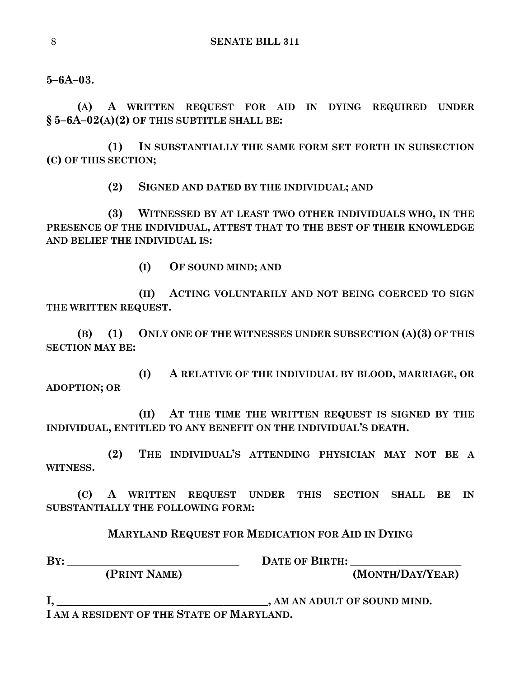**5–6A–03.**

**(A) A WRITTEN REQUEST FOR AID IN DYING REQUIRED UNDER § 5–6A–02(A)(2) OF THIS SUBTITLE SHALL BE:**

**(1) IN SUBSTANTIALLY THE SAME FORM SET FORTH IN SUBSECTION (C) OF THIS SECTION;**

**(2) SIGNED AND DATED BY THE INDIVIDUAL; AND**

**(3) WITNESSED BY AT LEAST TWO OTHER INDIVIDUALS WHO, IN THE PRESENCE OF THE INDIVIDUAL, ATTEST THAT TO THE BEST OF THEIR KNOWLEDGE AND BELIEF THE INDIVIDUAL IS:**

**(I) OF SOUND MIND; AND**

**(II) ACTING VOLUNTARILY AND NOT BEING COERCED TO SIGN THE WRITTEN REQUEST.**

**(B) (1) ONLY ONE OF THE WITNESSES UNDER SUBSECTION (A)(3) OF THIS SECTION MAY BE:**

**(I) A RELATIVE OF THE INDIVIDUAL BY BLOOD, MARRIAGE, OR ADOPTION; OR**

**(II) AT THE TIME THE WRITTEN REQUEST IS SIGNED BY THE INDIVIDUAL, ENTITLED TO ANY BENEFIT ON THE INDIVIDUAL'S DEATH.**

**(2) THE INDIVIDUAL'S ATTENDING PHYSICIAN MAY NOT BE A WITNESS.**

**(C) A WRITTEN REQUEST UNDER THIS SECTION SHALL BE IN SUBSTANTIALLY THE FOLLOWING FORM:**

**MARYLAND REQUEST FOR MEDICATION FOR AID IN DYING**

**BY: \_\_\_\_\_\_\_\_\_\_\_\_\_\_\_\_\_\_\_\_\_\_\_\_\_\_\_\_\_\_\_ DATE OF BIRTH: \_\_\_\_\_\_\_\_\_\_\_\_\_\_\_\_\_\_\_\_**

 **(PRINT NAME) (MONTH/DAY/YEAR)**

**I, \_\_\_\_\_\_\_\_\_\_\_\_\_\_\_\_\_\_\_\_\_\_\_\_\_\_\_\_\_\_\_\_\_\_\_\_\_\_, AM AN ADULT OF SOUND MIND. I AM A RESIDENT OF THE STATE OF MARYLAND.**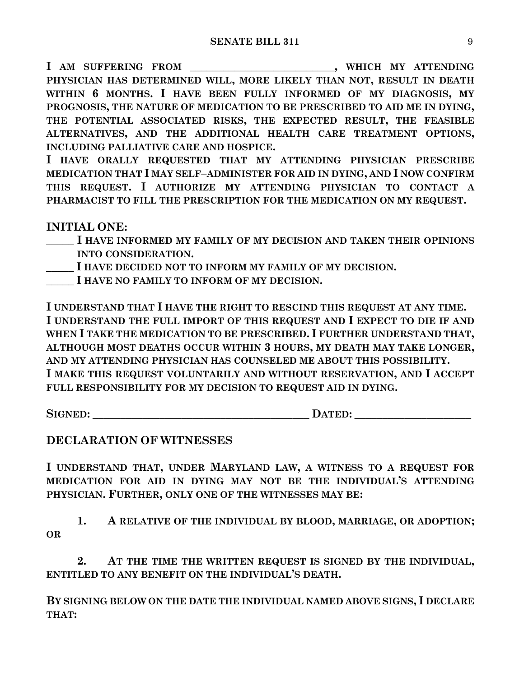**I AM SUFFERING FROM \_\_\_\_\_\_\_\_\_\_\_\_\_\_\_\_\_\_\_\_\_\_\_\_\_\_, WHICH MY ATTENDING PHYSICIAN HAS DETERMINED WILL, MORE LIKELY THAN NOT, RESULT IN DEATH WITHIN 6 MONTHS. I HAVE BEEN FULLY INFORMED OF MY DIAGNOSIS, MY PROGNOSIS, THE NATURE OF MEDICATION TO BE PRESCRIBED TO AID ME IN DYING, THE POTENTIAL ASSOCIATED RISKS, THE EXPECTED RESULT, THE FEASIBLE ALTERNATIVES, AND THE ADDITIONAL HEALTH CARE TREATMENT OPTIONS, INCLUDING PALLIATIVE CARE AND HOSPICE.**

**I HAVE ORALLY REQUESTED THAT MY ATTENDING PHYSICIAN PRESCRIBE MEDICATION THAT I MAY SELF–ADMINISTER FOR AID IN DYING, AND I NOW CONFIRM THIS REQUEST. I AUTHORIZE MY ATTENDING PHYSICIAN TO CONTACT A PHARMACIST TO FILL THE PRESCRIPTION FOR THE MEDICATION ON MY REQUEST.**

**INITIAL ONE:**

**\_\_\_\_\_ I HAVE INFORMED MY FAMILY OF MY DECISION AND TAKEN THEIR OPINIONS INTO CONSIDERATION.**

**\_\_\_\_\_ I HAVE DECIDED NOT TO INFORM MY FAMILY OF MY DECISION.**

**\_\_\_\_\_ I HAVE NO FAMILY TO INFORM OF MY DECISION.**

**I UNDERSTAND THAT I HAVE THE RIGHT TO RESCIND THIS REQUEST AT ANY TIME. I UNDERSTAND THE FULL IMPORT OF THIS REQUEST AND I EXPECT TO DIE IF AND WHEN I TAKE THE MEDICATION TO BE PRESCRIBED. I FURTHER UNDERSTAND THAT, ALTHOUGH MOST DEATHS OCCUR WITHIN 3 HOURS, MY DEATH MAY TAKE LONGER, AND MY ATTENDING PHYSICIAN HAS COUNSELED ME ABOUT THIS POSSIBILITY. I MAKE THIS REQUEST VOLUNTARILY AND WITHOUT RESERVATION, AND I ACCEPT FULL RESPONSIBILITY FOR MY DECISION TO REQUEST AID IN DYING.**

**SIGNED: \_\_\_\_\_\_\_\_\_\_\_\_\_\_\_\_\_\_\_\_\_\_\_\_\_\_\_\_\_\_\_\_\_\_\_\_\_\_\_ DATED: \_\_\_\_\_\_\_\_\_\_\_\_\_\_\_\_\_\_\_\_\_**

## **DECLARATION OF WITNESSES**

**I UNDERSTAND THAT, UNDER MARYLAND LAW, A WITNESS TO A REQUEST FOR MEDICATION FOR AID IN DYING MAY NOT BE THE INDIVIDUAL'S ATTENDING PHYSICIAN. FURTHER, ONLY ONE OF THE WITNESSES MAY BE:**

**1. A RELATIVE OF THE INDIVIDUAL BY BLOOD, MARRIAGE, OR ADOPTION; OR**

**2. AT THE TIME THE WRITTEN REQUEST IS SIGNED BY THE INDIVIDUAL, ENTITLED TO ANY BENEFIT ON THE INDIVIDUAL'S DEATH.**

**BY SIGNING BELOW ON THE DATE THE INDIVIDUAL NAMED ABOVE SIGNS, I DECLARE THAT:**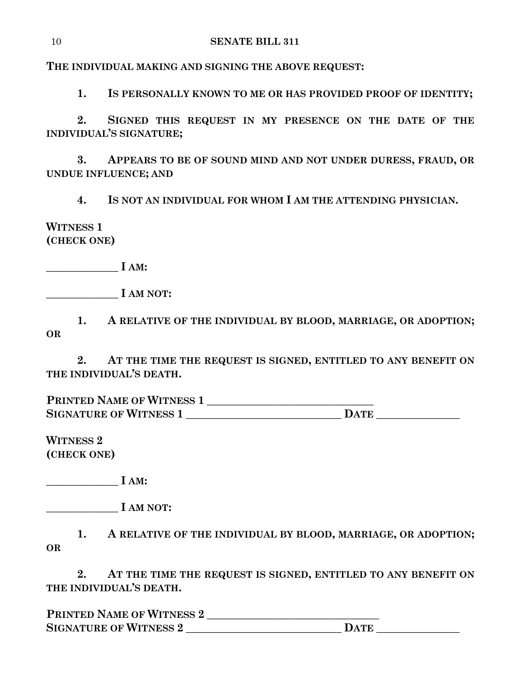**THE INDIVIDUAL MAKING AND SIGNING THE ABOVE REQUEST:**

**1. IS PERSONALLY KNOWN TO ME OR HAS PROVIDED PROOF OF IDENTITY;**

**2. SIGNED THIS REQUEST IN MY PRESENCE ON THE DATE OF THE INDIVIDUAL'S SIGNATURE;**

**3. APPEARS TO BE OF SOUND MIND AND NOT UNDER DURESS, FRAUD, OR UNDUE INFLUENCE; AND**

**4. IS NOT AN INDIVIDUAL FOR WHOM I AM THE ATTENDING PHYSICIAN.**

# **WITNESS 1 (CHECK ONE)**

**\_\_\_\_\_\_\_\_\_\_\_\_\_ I AM:**

**\_\_\_\_\_\_\_\_\_\_\_\_\_ I AM NOT:**

**1. A RELATIVE OF THE INDIVIDUAL BY BLOOD, MARRIAGE, OR ADOPTION; OR**

**2. AT THE TIME THE REQUEST IS SIGNED, ENTITLED TO ANY BENEFIT ON THE INDIVIDUAL'S DEATH.**

**PRINTED NAME OF WITNESS 1 \_\_\_\_\_\_\_\_\_\_\_\_\_\_\_\_\_\_\_\_\_\_\_\_\_\_\_\_\_\_ SIGNATURE OF WITNESS 1 \_\_\_\_\_\_\_\_\_\_\_\_\_\_\_\_\_\_\_\_\_\_\_\_\_\_\_\_ DATE \_\_\_\_\_\_\_\_\_\_\_\_\_\_\_**

**WITNESS 2 (CHECK ONE)**

**\_\_\_\_\_\_\_\_\_\_\_\_\_ I AM:**

**\_\_\_\_\_\_\_\_\_\_\_\_\_ I AM NOT:**

**1. A RELATIVE OF THE INDIVIDUAL BY BLOOD, MARRIAGE, OR ADOPTION; OR**

**2. AT THE TIME THE REQUEST IS SIGNED, ENTITLED TO ANY BENEFIT ON THE INDIVIDUAL'S DEATH.**

**PRINTED NAME OF WITNESS 2 \_\_\_\_\_\_\_\_\_\_\_\_\_\_\_\_\_\_\_\_\_\_\_\_\_\_\_\_\_\_\_ SIGNATURE OF WITNESS 2 \_\_\_\_\_\_\_\_\_\_\_\_\_\_\_\_\_\_\_\_\_\_\_\_\_\_\_\_ DATE \_\_\_\_\_\_\_\_\_\_\_\_\_\_\_**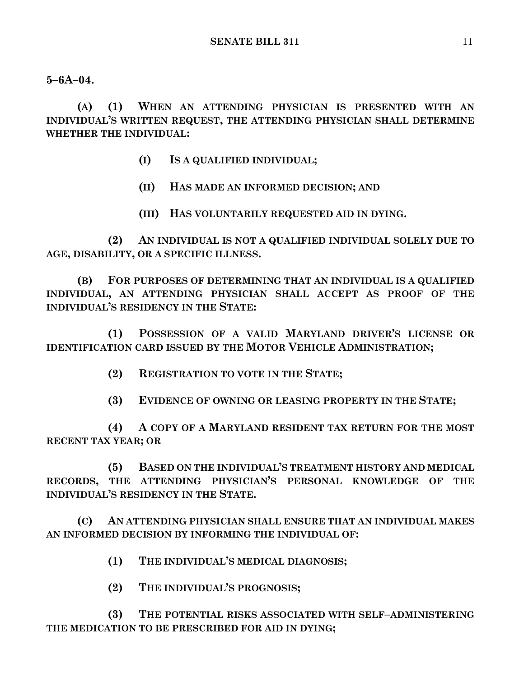**5–6A–04.**

**(A) (1) WHEN AN ATTENDING PHYSICIAN IS PRESENTED WITH AN INDIVIDUAL'S WRITTEN REQUEST, THE ATTENDING PHYSICIAN SHALL DETERMINE WHETHER THE INDIVIDUAL:**

- **(I) IS A QUALIFIED INDIVIDUAL;**
- **(II) HAS MADE AN INFORMED DECISION; AND**
- **(III) HAS VOLUNTARILY REQUESTED AID IN DYING.**

**(2) AN INDIVIDUAL IS NOT A QUALIFIED INDIVIDUAL SOLELY DUE TO AGE, DISABILITY, OR A SPECIFIC ILLNESS.**

**(B) FOR PURPOSES OF DETERMINING THAT AN INDIVIDUAL IS A QUALIFIED INDIVIDUAL, AN ATTENDING PHYSICIAN SHALL ACCEPT AS PROOF OF THE INDIVIDUAL'S RESIDENCY IN THE STATE:**

**(1) POSSESSION OF A VALID MARYLAND DRIVER'S LICENSE OR IDENTIFICATION CARD ISSUED BY THE MOTOR VEHICLE ADMINISTRATION;**

**(2) REGISTRATION TO VOTE IN THE STATE;**

**(3) EVIDENCE OF OWNING OR LEASING PROPERTY IN THE STATE;**

**(4) A COPY OF A MARYLAND RESIDENT TAX RETURN FOR THE MOST RECENT TAX YEAR; OR**

**(5) BASED ON THE INDIVIDUAL'S TREATMENT HISTORY AND MEDICAL RECORDS, THE ATTENDING PHYSICIAN'S PERSONAL KNOWLEDGE OF THE INDIVIDUAL'S RESIDENCY IN THE STATE.**

**(C) AN ATTENDING PHYSICIAN SHALL ENSURE THAT AN INDIVIDUAL MAKES AN INFORMED DECISION BY INFORMING THE INDIVIDUAL OF:**

- **(1) THE INDIVIDUAL'S MEDICAL DIAGNOSIS;**
- **(2) THE INDIVIDUAL'S PROGNOSIS;**

**(3) THE POTENTIAL RISKS ASSOCIATED WITH SELF–ADMINISTERING THE MEDICATION TO BE PRESCRIBED FOR AID IN DYING;**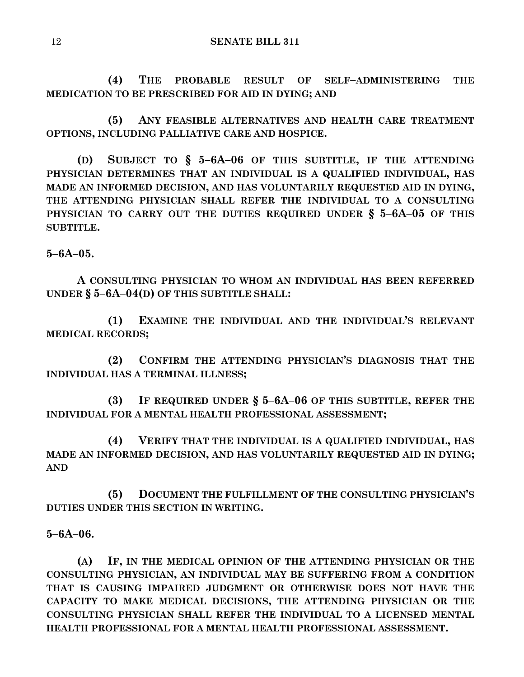**(4) THE PROBABLE RESULT OF SELF–ADMINISTERING THE MEDICATION TO BE PRESCRIBED FOR AID IN DYING; AND**

**(5) ANY FEASIBLE ALTERNATIVES AND HEALTH CARE TREATMENT OPTIONS, INCLUDING PALLIATIVE CARE AND HOSPICE.**

**(D) SUBJECT TO § 5–6A–06 OF THIS SUBTITLE, IF THE ATTENDING PHYSICIAN DETERMINES THAT AN INDIVIDUAL IS A QUALIFIED INDIVIDUAL, HAS MADE AN INFORMED DECISION, AND HAS VOLUNTARILY REQUESTED AID IN DYING, THE ATTENDING PHYSICIAN SHALL REFER THE INDIVIDUAL TO A CONSULTING PHYSICIAN TO CARRY OUT THE DUTIES REQUIRED UNDER § 5–6A–05 OF THIS SUBTITLE.**

**5–6A–05.**

**A CONSULTING PHYSICIAN TO WHOM AN INDIVIDUAL HAS BEEN REFERRED UNDER § 5–6A–04(D) OF THIS SUBTITLE SHALL:**

**(1) EXAMINE THE INDIVIDUAL AND THE INDIVIDUAL'S RELEVANT MEDICAL RECORDS;**

**(2) CONFIRM THE ATTENDING PHYSICIAN'S DIAGNOSIS THAT THE INDIVIDUAL HAS A TERMINAL ILLNESS;**

**(3) IF REQUIRED UNDER § 5–6A–06 OF THIS SUBTITLE, REFER THE INDIVIDUAL FOR A MENTAL HEALTH PROFESSIONAL ASSESSMENT;**

**(4) VERIFY THAT THE INDIVIDUAL IS A QUALIFIED INDIVIDUAL, HAS MADE AN INFORMED DECISION, AND HAS VOLUNTARILY REQUESTED AID IN DYING; AND**

**(5) DOCUMENT THE FULFILLMENT OF THE CONSULTING PHYSICIAN'S DUTIES UNDER THIS SECTION IN WRITING.**

### **5–6A–06.**

**(A) IF, IN THE MEDICAL OPINION OF THE ATTENDING PHYSICIAN OR THE CONSULTING PHYSICIAN, AN INDIVIDUAL MAY BE SUFFERING FROM A CONDITION THAT IS CAUSING IMPAIRED JUDGMENT OR OTHERWISE DOES NOT HAVE THE CAPACITY TO MAKE MEDICAL DECISIONS, THE ATTENDING PHYSICIAN OR THE CONSULTING PHYSICIAN SHALL REFER THE INDIVIDUAL TO A LICENSED MENTAL HEALTH PROFESSIONAL FOR A MENTAL HEALTH PROFESSIONAL ASSESSMENT.**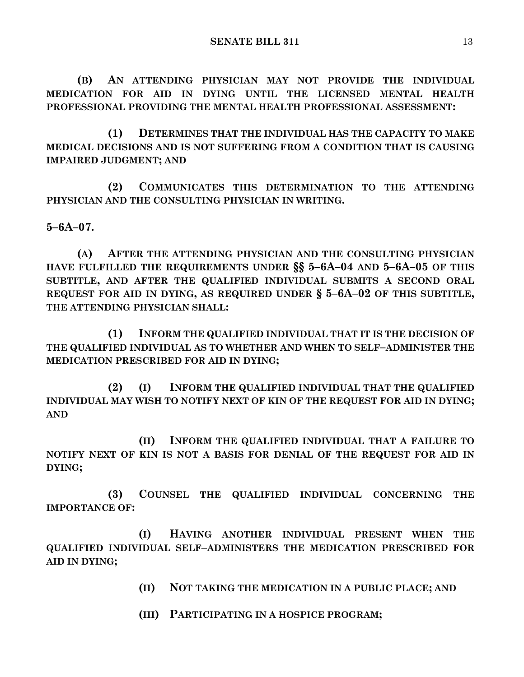**(B) AN ATTENDING PHYSICIAN MAY NOT PROVIDE THE INDIVIDUAL MEDICATION FOR AID IN DYING UNTIL THE LICENSED MENTAL HEALTH PROFESSIONAL PROVIDING THE MENTAL HEALTH PROFESSIONAL ASSESSMENT:**

**(1) DETERMINES THAT THE INDIVIDUAL HAS THE CAPACITY TO MAKE MEDICAL DECISIONS AND IS NOT SUFFERING FROM A CONDITION THAT IS CAUSING IMPAIRED JUDGMENT; AND**

**(2) COMMUNICATES THIS DETERMINATION TO THE ATTENDING PHYSICIAN AND THE CONSULTING PHYSICIAN IN WRITING.**

**5–6A–07.**

**(A) AFTER THE ATTENDING PHYSICIAN AND THE CONSULTING PHYSICIAN HAVE FULFILLED THE REQUIREMENTS UNDER §§ 5–6A–04 AND 5–6A–05 OF THIS SUBTITLE, AND AFTER THE QUALIFIED INDIVIDUAL SUBMITS A SECOND ORAL REQUEST FOR AID IN DYING, AS REQUIRED UNDER § 5–6A–02 OF THIS SUBTITLE, THE ATTENDING PHYSICIAN SHALL:**

**(1) INFORM THE QUALIFIED INDIVIDUAL THAT IT IS THE DECISION OF THE QUALIFIED INDIVIDUAL AS TO WHETHER AND WHEN TO SELF–ADMINISTER THE MEDICATION PRESCRIBED FOR AID IN DYING;**

**(2) (I) INFORM THE QUALIFIED INDIVIDUAL THAT THE QUALIFIED INDIVIDUAL MAY WISH TO NOTIFY NEXT OF KIN OF THE REQUEST FOR AID IN DYING; AND**

**(II) INFORM THE QUALIFIED INDIVIDUAL THAT A FAILURE TO NOTIFY NEXT OF KIN IS NOT A BASIS FOR DENIAL OF THE REQUEST FOR AID IN DYING;**

**(3) COUNSEL THE QUALIFIED INDIVIDUAL CONCERNING THE IMPORTANCE OF:**

**(I) HAVING ANOTHER INDIVIDUAL PRESENT WHEN THE QUALIFIED INDIVIDUAL SELF–ADMINISTERS THE MEDICATION PRESCRIBED FOR AID IN DYING;**

**(II) NOT TAKING THE MEDICATION IN A PUBLIC PLACE; AND**

**(III) PARTICIPATING IN A HOSPICE PROGRAM;**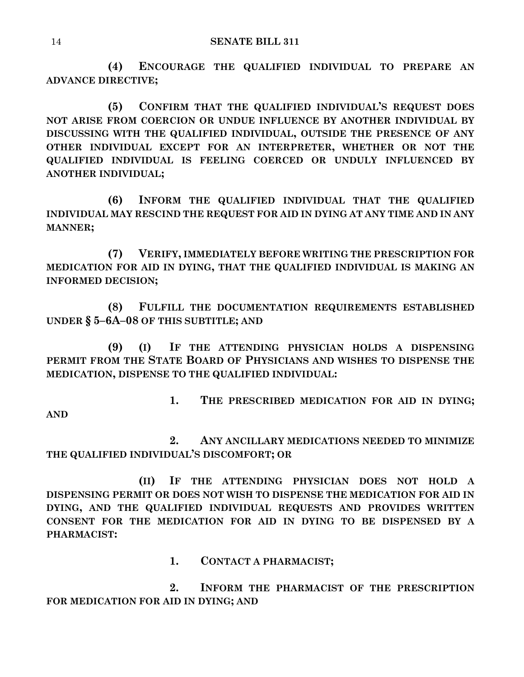**(4) ENCOURAGE THE QUALIFIED INDIVIDUAL TO PREPARE AN ADVANCE DIRECTIVE;**

**(5) CONFIRM THAT THE QUALIFIED INDIVIDUAL'S REQUEST DOES NOT ARISE FROM COERCION OR UNDUE INFLUENCE BY ANOTHER INDIVIDUAL BY DISCUSSING WITH THE QUALIFIED INDIVIDUAL, OUTSIDE THE PRESENCE OF ANY OTHER INDIVIDUAL EXCEPT FOR AN INTERPRETER, WHETHER OR NOT THE QUALIFIED INDIVIDUAL IS FEELING COERCED OR UNDULY INFLUENCED BY ANOTHER INDIVIDUAL;**

**(6) INFORM THE QUALIFIED INDIVIDUAL THAT THE QUALIFIED INDIVIDUAL MAY RESCIND THE REQUEST FOR AID IN DYING AT ANY TIME AND IN ANY MANNER;**

**(7) VERIFY, IMMEDIATELY BEFORE WRITING THE PRESCRIPTION FOR MEDICATION FOR AID IN DYING, THAT THE QUALIFIED INDIVIDUAL IS MAKING AN INFORMED DECISION;**

**(8) FULFILL THE DOCUMENTATION REQUIREMENTS ESTABLISHED UNDER § 5–6A–08 OF THIS SUBTITLE; AND**

**(9) (I) IF THE ATTENDING PHYSICIAN HOLDS A DISPENSING PERMIT FROM THE STATE BOARD OF PHYSICIANS AND WISHES TO DISPENSE THE MEDICATION, DISPENSE TO THE QUALIFIED INDIVIDUAL:**

**1. THE PRESCRIBED MEDICATION FOR AID IN DYING; AND**

**2. ANY ANCILLARY MEDICATIONS NEEDED TO MINIMIZE THE QUALIFIED INDIVIDUAL'S DISCOMFORT; OR**

**(II) IF THE ATTENDING PHYSICIAN DOES NOT HOLD A DISPENSING PERMIT OR DOES NOT WISH TO DISPENSE THE MEDICATION FOR AID IN DYING, AND THE QUALIFIED INDIVIDUAL REQUESTS AND PROVIDES WRITTEN CONSENT FOR THE MEDICATION FOR AID IN DYING TO BE DISPENSED BY A PHARMACIST:**

**1. CONTACT A PHARMACIST;**

**2. INFORM THE PHARMACIST OF THE PRESCRIPTION FOR MEDICATION FOR AID IN DYING; AND**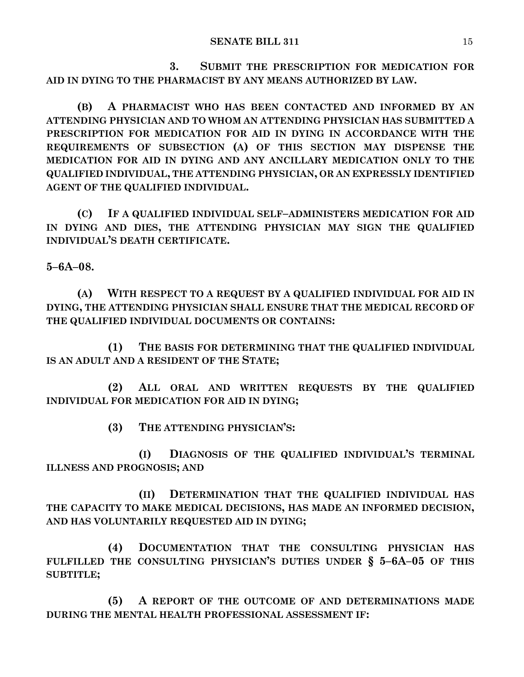**3. SUBMIT THE PRESCRIPTION FOR MEDICATION FOR AID IN DYING TO THE PHARMACIST BY ANY MEANS AUTHORIZED BY LAW.**

**(B) A PHARMACIST WHO HAS BEEN CONTACTED AND INFORMED BY AN ATTENDING PHYSICIAN AND TO WHOM AN ATTENDING PHYSICIAN HAS SUBMITTED A PRESCRIPTION FOR MEDICATION FOR AID IN DYING IN ACCORDANCE WITH THE REQUIREMENTS OF SUBSECTION (A) OF THIS SECTION MAY DISPENSE THE MEDICATION FOR AID IN DYING AND ANY ANCILLARY MEDICATION ONLY TO THE QUALIFIED INDIVIDUAL, THE ATTENDING PHYSICIAN, OR AN EXPRESSLY IDENTIFIED AGENT OF THE QUALIFIED INDIVIDUAL.**

**(C) IF A QUALIFIED INDIVIDUAL SELF–ADMINISTERS MEDICATION FOR AID IN DYING AND DIES, THE ATTENDING PHYSICIAN MAY SIGN THE QUALIFIED INDIVIDUAL'S DEATH CERTIFICATE.**

**5–6A–08.**

**(A) WITH RESPECT TO A REQUEST BY A QUALIFIED INDIVIDUAL FOR AID IN DYING, THE ATTENDING PHYSICIAN SHALL ENSURE THAT THE MEDICAL RECORD OF THE QUALIFIED INDIVIDUAL DOCUMENTS OR CONTAINS:**

**(1) THE BASIS FOR DETERMINING THAT THE QUALIFIED INDIVIDUAL IS AN ADULT AND A RESIDENT OF THE STATE;**

**(2) ALL ORAL AND WRITTEN REQUESTS BY THE QUALIFIED INDIVIDUAL FOR MEDICATION FOR AID IN DYING;**

**(3) THE ATTENDING PHYSICIAN'S:**

**(I) DIAGNOSIS OF THE QUALIFIED INDIVIDUAL'S TERMINAL ILLNESS AND PROGNOSIS; AND**

**(II) DETERMINATION THAT THE QUALIFIED INDIVIDUAL HAS THE CAPACITY TO MAKE MEDICAL DECISIONS, HAS MADE AN INFORMED DECISION, AND HAS VOLUNTARILY REQUESTED AID IN DYING;**

**(4) DOCUMENTATION THAT THE CONSULTING PHYSICIAN HAS FULFILLED THE CONSULTING PHYSICIAN'S DUTIES UNDER § 5–6A–05 OF THIS SUBTITLE;**

**(5) A REPORT OF THE OUTCOME OF AND DETERMINATIONS MADE DURING THE MENTAL HEALTH PROFESSIONAL ASSESSMENT IF:**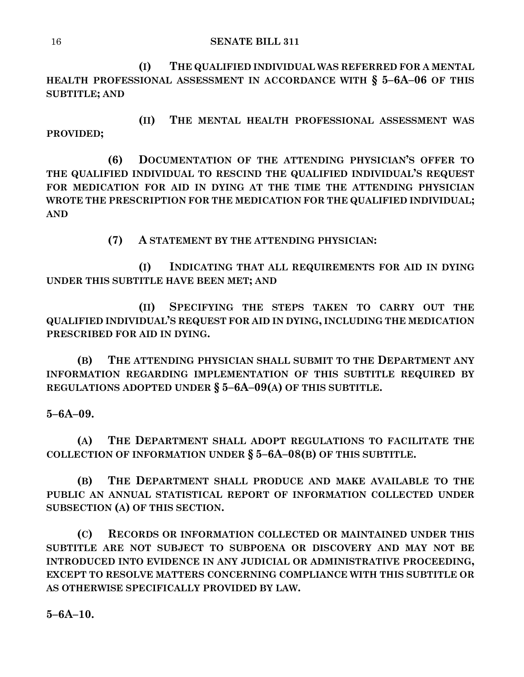**(I) THE QUALIFIED INDIVIDUAL WAS REFERRED FOR A MENTAL HEALTH PROFESSIONAL ASSESSMENT IN ACCORDANCE WITH § 5–6A–06 OF THIS SUBTITLE; AND** 

**(II) THE MENTAL HEALTH PROFESSIONAL ASSESSMENT WAS PROVIDED;**

**(6) DOCUMENTATION OF THE ATTENDING PHYSICIAN'S OFFER TO THE QUALIFIED INDIVIDUAL TO RESCIND THE QUALIFIED INDIVIDUAL'S REQUEST FOR MEDICATION FOR AID IN DYING AT THE TIME THE ATTENDING PHYSICIAN WROTE THE PRESCRIPTION FOR THE MEDICATION FOR THE QUALIFIED INDIVIDUAL; AND**

**(7) A STATEMENT BY THE ATTENDING PHYSICIAN:**

**(I) INDICATING THAT ALL REQUIREMENTS FOR AID IN DYING UNDER THIS SUBTITLE HAVE BEEN MET; AND**

**(II) SPECIFYING THE STEPS TAKEN TO CARRY OUT THE QUALIFIED INDIVIDUAL'S REQUEST FOR AID IN DYING, INCLUDING THE MEDICATION PRESCRIBED FOR AID IN DYING.**

**(B) THE ATTENDING PHYSICIAN SHALL SUBMIT TO THE DEPARTMENT ANY INFORMATION REGARDING IMPLEMENTATION OF THIS SUBTITLE REQUIRED BY REGULATIONS ADOPTED UNDER § 5–6A–09(A) OF THIS SUBTITLE.**

**5–6A–09.**

**(A) THE DEPARTMENT SHALL ADOPT REGULATIONS TO FACILITATE THE COLLECTION OF INFORMATION UNDER § 5–6A–08(B) OF THIS SUBTITLE.**

**(B) THE DEPARTMENT SHALL PRODUCE AND MAKE AVAILABLE TO THE PUBLIC AN ANNUAL STATISTICAL REPORT OF INFORMATION COLLECTED UNDER SUBSECTION (A) OF THIS SECTION.**

**(C) RECORDS OR INFORMATION COLLECTED OR MAINTAINED UNDER THIS SUBTITLE ARE NOT SUBJECT TO SUBPOENA OR DISCOVERY AND MAY NOT BE INTRODUCED INTO EVIDENCE IN ANY JUDICIAL OR ADMINISTRATIVE PROCEEDING, EXCEPT TO RESOLVE MATTERS CONCERNING COMPLIANCE WITH THIS SUBTITLE OR AS OTHERWISE SPECIFICALLY PROVIDED BY LAW.**

**5–6A–10.**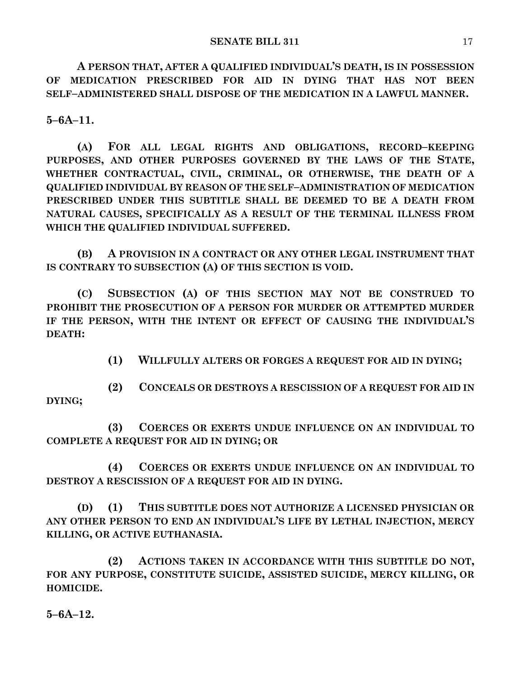**A PERSON THAT, AFTER A QUALIFIED INDIVIDUAL'S DEATH, IS IN POSSESSION OF MEDICATION PRESCRIBED FOR AID IN DYING THAT HAS NOT BEEN SELF–ADMINISTERED SHALL DISPOSE OF THE MEDICATION IN A LAWFUL MANNER.**

**5–6A–11.**

**(A) FOR ALL LEGAL RIGHTS AND OBLIGATIONS, RECORD–KEEPING PURPOSES, AND OTHER PURPOSES GOVERNED BY THE LAWS OF THE STATE, WHETHER CONTRACTUAL, CIVIL, CRIMINAL, OR OTHERWISE, THE DEATH OF A QUALIFIED INDIVIDUAL BY REASON OF THE SELF–ADMINISTRATION OF MEDICATION PRESCRIBED UNDER THIS SUBTITLE SHALL BE DEEMED TO BE A DEATH FROM NATURAL CAUSES, SPECIFICALLY AS A RESULT OF THE TERMINAL ILLNESS FROM WHICH THE QUALIFIED INDIVIDUAL SUFFERED.**

**(B) A PROVISION IN A CONTRACT OR ANY OTHER LEGAL INSTRUMENT THAT IS CONTRARY TO SUBSECTION (A) OF THIS SECTION IS VOID.**

**(C) SUBSECTION (A) OF THIS SECTION MAY NOT BE CONSTRUED TO PROHIBIT THE PROSECUTION OF A PERSON FOR MURDER OR ATTEMPTED MURDER IF THE PERSON, WITH THE INTENT OR EFFECT OF CAUSING THE INDIVIDUAL'S DEATH:**

**(1) WILLFULLY ALTERS OR FORGES A REQUEST FOR AID IN DYING;**

**(2) CONCEALS OR DESTROYS A RESCISSION OF A REQUEST FOR AID IN DYING;**

**(3) COERCES OR EXERTS UNDUE INFLUENCE ON AN INDIVIDUAL TO COMPLETE A REQUEST FOR AID IN DYING; OR**

**(4) COERCES OR EXERTS UNDUE INFLUENCE ON AN INDIVIDUAL TO DESTROY A RESCISSION OF A REQUEST FOR AID IN DYING.**

**(D) (1) THIS SUBTITLE DOES NOT AUTHORIZE A LICENSED PHYSICIAN OR ANY OTHER PERSON TO END AN INDIVIDUAL'S LIFE BY LETHAL INJECTION, MERCY KILLING, OR ACTIVE EUTHANASIA.**

**(2) ACTIONS TAKEN IN ACCORDANCE WITH THIS SUBTITLE DO NOT, FOR ANY PURPOSE, CONSTITUTE SUICIDE, ASSISTED SUICIDE, MERCY KILLING, OR HOMICIDE.**

**5–6A–12.**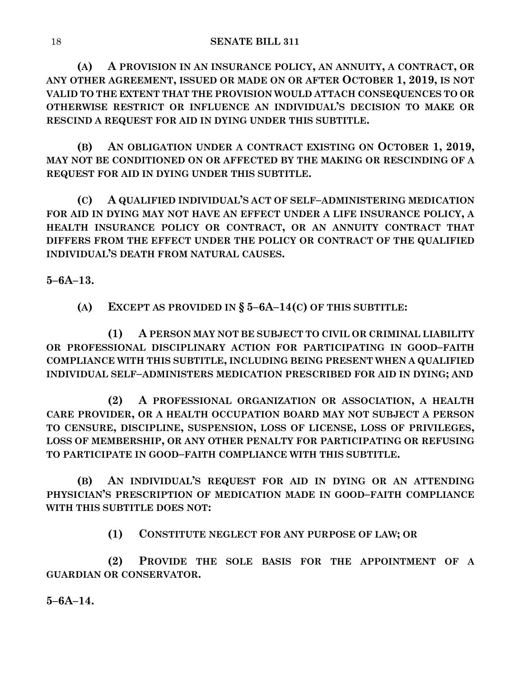**(A) A PROVISION IN AN INSURANCE POLICY, AN ANNUITY, A CONTRACT, OR ANY OTHER AGREEMENT, ISSUED OR MADE ON OR AFTER OCTOBER 1, 2019, IS NOT VALID TO THE EXTENT THAT THE PROVISION WOULD ATTACH CONSEQUENCES TO OR OTHERWISE RESTRICT OR INFLUENCE AN INDIVIDUAL'S DECISION TO MAKE OR RESCIND A REQUEST FOR AID IN DYING UNDER THIS SUBTITLE.**

**(B) AN OBLIGATION UNDER A CONTRACT EXISTING ON OCTOBER 1, 2019, MAY NOT BE CONDITIONED ON OR AFFECTED BY THE MAKING OR RESCINDING OF A REQUEST FOR AID IN DYING UNDER THIS SUBTITLE.**

**(C) A QUALIFIED INDIVIDUAL'S ACT OF SELF–ADMINISTERING MEDICATION FOR AID IN DYING MAY NOT HAVE AN EFFECT UNDER A LIFE INSURANCE POLICY, A HEALTH INSURANCE POLICY OR CONTRACT, OR AN ANNUITY CONTRACT THAT DIFFERS FROM THE EFFECT UNDER THE POLICY OR CONTRACT OF THE QUALIFIED INDIVIDUAL'S DEATH FROM NATURAL CAUSES.**

**5–6A–13.**

**(A) EXCEPT AS PROVIDED IN § 5–6A–14(C) OF THIS SUBTITLE:**

**(1) A PERSON MAY NOT BE SUBJECT TO CIVIL OR CRIMINAL LIABILITY OR PROFESSIONAL DISCIPLINARY ACTION FOR PARTICIPATING IN GOOD–FAITH COMPLIANCE WITH THIS SUBTITLE, INCLUDING BEING PRESENT WHEN A QUALIFIED INDIVIDUAL SELF–ADMINISTERS MEDICATION PRESCRIBED FOR AID IN DYING; AND**

**(2) A PROFESSIONAL ORGANIZATION OR ASSOCIATION, A HEALTH CARE PROVIDER, OR A HEALTH OCCUPATION BOARD MAY NOT SUBJECT A PERSON TO CENSURE, DISCIPLINE, SUSPENSION, LOSS OF LICENSE, LOSS OF PRIVILEGES, LOSS OF MEMBERSHIP, OR ANY OTHER PENALTY FOR PARTICIPATING OR REFUSING TO PARTICIPATE IN GOOD–FAITH COMPLIANCE WITH THIS SUBTITLE.**

**(B) AN INDIVIDUAL'S REQUEST FOR AID IN DYING OR AN ATTENDING PHYSICIAN'S PRESCRIPTION OF MEDICATION MADE IN GOOD–FAITH COMPLIANCE WITH THIS SUBTITLE DOES NOT:**

**(1) CONSTITUTE NEGLECT FOR ANY PURPOSE OF LAW; OR** 

**(2) PROVIDE THE SOLE BASIS FOR THE APPOINTMENT OF A GUARDIAN OR CONSERVATOR.**

**5–6A–14.**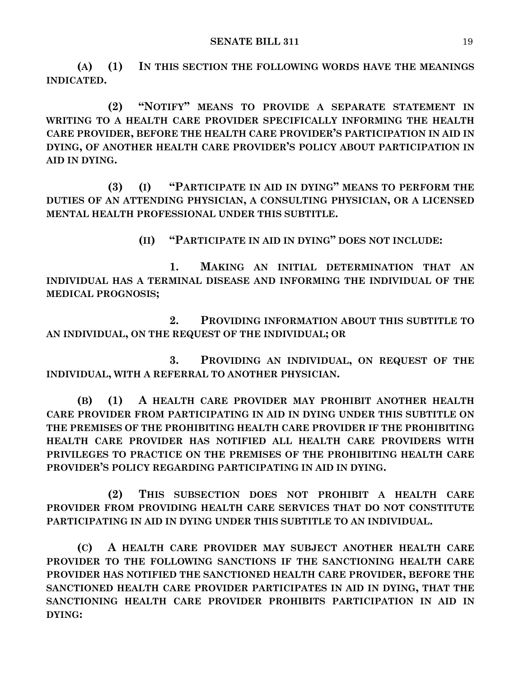**(A) (1) IN THIS SECTION THE FOLLOWING WORDS HAVE THE MEANINGS INDICATED.**

**(2) "NOTIFY" MEANS TO PROVIDE A SEPARATE STATEMENT IN WRITING TO A HEALTH CARE PROVIDER SPECIFICALLY INFORMING THE HEALTH CARE PROVIDER, BEFORE THE HEALTH CARE PROVIDER'S PARTICIPATION IN AID IN DYING, OF ANOTHER HEALTH CARE PROVIDER'S POLICY ABOUT PARTICIPATION IN AID IN DYING.**

**(3) (I) "PARTICIPATE IN AID IN DYING" MEANS TO PERFORM THE DUTIES OF AN ATTENDING PHYSICIAN, A CONSULTING PHYSICIAN, OR A LICENSED MENTAL HEALTH PROFESSIONAL UNDER THIS SUBTITLE.**

**(II) "PARTICIPATE IN AID IN DYING" DOES NOT INCLUDE:**

**1. MAKING AN INITIAL DETERMINATION THAT AN INDIVIDUAL HAS A TERMINAL DISEASE AND INFORMING THE INDIVIDUAL OF THE MEDICAL PROGNOSIS;**

**2. PROVIDING INFORMATION ABOUT THIS SUBTITLE TO AN INDIVIDUAL, ON THE REQUEST OF THE INDIVIDUAL; OR**

**3. PROVIDING AN INDIVIDUAL, ON REQUEST OF THE INDIVIDUAL, WITH A REFERRAL TO ANOTHER PHYSICIAN.**

**(B) (1) A HEALTH CARE PROVIDER MAY PROHIBIT ANOTHER HEALTH CARE PROVIDER FROM PARTICIPATING IN AID IN DYING UNDER THIS SUBTITLE ON THE PREMISES OF THE PROHIBITING HEALTH CARE PROVIDER IF THE PROHIBITING HEALTH CARE PROVIDER HAS NOTIFIED ALL HEALTH CARE PROVIDERS WITH PRIVILEGES TO PRACTICE ON THE PREMISES OF THE PROHIBITING HEALTH CARE PROVIDER'S POLICY REGARDING PARTICIPATING IN AID IN DYING.**

**(2) THIS SUBSECTION DOES NOT PROHIBIT A HEALTH CARE PROVIDER FROM PROVIDING HEALTH CARE SERVICES THAT DO NOT CONSTITUTE PARTICIPATING IN AID IN DYING UNDER THIS SUBTITLE TO AN INDIVIDUAL.**

**(C) A HEALTH CARE PROVIDER MAY SUBJECT ANOTHER HEALTH CARE PROVIDER TO THE FOLLOWING SANCTIONS IF THE SANCTIONING HEALTH CARE PROVIDER HAS NOTIFIED THE SANCTIONED HEALTH CARE PROVIDER, BEFORE THE SANCTIONED HEALTH CARE PROVIDER PARTICIPATES IN AID IN DYING, THAT THE SANCTIONING HEALTH CARE PROVIDER PROHIBITS PARTICIPATION IN AID IN DYING:**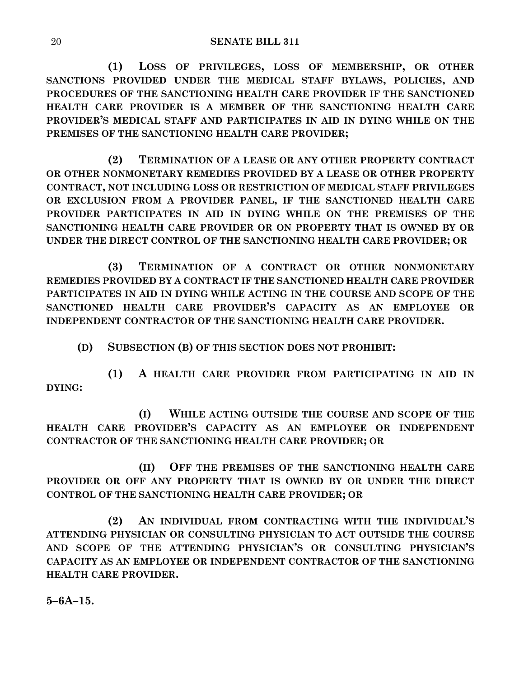**(1) LOSS OF PRIVILEGES, LOSS OF MEMBERSHIP, OR OTHER SANCTIONS PROVIDED UNDER THE MEDICAL STAFF BYLAWS, POLICIES, AND PROCEDURES OF THE SANCTIONING HEALTH CARE PROVIDER IF THE SANCTIONED HEALTH CARE PROVIDER IS A MEMBER OF THE SANCTIONING HEALTH CARE PROVIDER'S MEDICAL STAFF AND PARTICIPATES IN AID IN DYING WHILE ON THE PREMISES OF THE SANCTIONING HEALTH CARE PROVIDER;**

**(2) TERMINATION OF A LEASE OR ANY OTHER PROPERTY CONTRACT OR OTHER NONMONETARY REMEDIES PROVIDED BY A LEASE OR OTHER PROPERTY CONTRACT, NOT INCLUDING LOSS OR RESTRICTION OF MEDICAL STAFF PRIVILEGES OR EXCLUSION FROM A PROVIDER PANEL, IF THE SANCTIONED HEALTH CARE PROVIDER PARTICIPATES IN AID IN DYING WHILE ON THE PREMISES OF THE SANCTIONING HEALTH CARE PROVIDER OR ON PROPERTY THAT IS OWNED BY OR UNDER THE DIRECT CONTROL OF THE SANCTIONING HEALTH CARE PROVIDER; OR**

**(3) TERMINATION OF A CONTRACT OR OTHER NONMONETARY REMEDIES PROVIDED BY A CONTRACT IF THE SANCTIONED HEALTH CARE PROVIDER PARTICIPATES IN AID IN DYING WHILE ACTING IN THE COURSE AND SCOPE OF THE SANCTIONED HEALTH CARE PROVIDER'S CAPACITY AS AN EMPLOYEE OR INDEPENDENT CONTRACTOR OF THE SANCTIONING HEALTH CARE PROVIDER.**

**(D) SUBSECTION (B) OF THIS SECTION DOES NOT PROHIBIT:**

**(1) A HEALTH CARE PROVIDER FROM PARTICIPATING IN AID IN DYING:**

**(I) WHILE ACTING OUTSIDE THE COURSE AND SCOPE OF THE HEALTH CARE PROVIDER'S CAPACITY AS AN EMPLOYEE OR INDEPENDENT CONTRACTOR OF THE SANCTIONING HEALTH CARE PROVIDER; OR**

**(II) OFF THE PREMISES OF THE SANCTIONING HEALTH CARE PROVIDER OR OFF ANY PROPERTY THAT IS OWNED BY OR UNDER THE DIRECT CONTROL OF THE SANCTIONING HEALTH CARE PROVIDER; OR**

**(2) AN INDIVIDUAL FROM CONTRACTING WITH THE INDIVIDUAL'S ATTENDING PHYSICIAN OR CONSULTING PHYSICIAN TO ACT OUTSIDE THE COURSE AND SCOPE OF THE ATTENDING PHYSICIAN'S OR CONSULTING PHYSICIAN'S CAPACITY AS AN EMPLOYEE OR INDEPENDENT CONTRACTOR OF THE SANCTIONING HEALTH CARE PROVIDER.**

**5–6A–15.**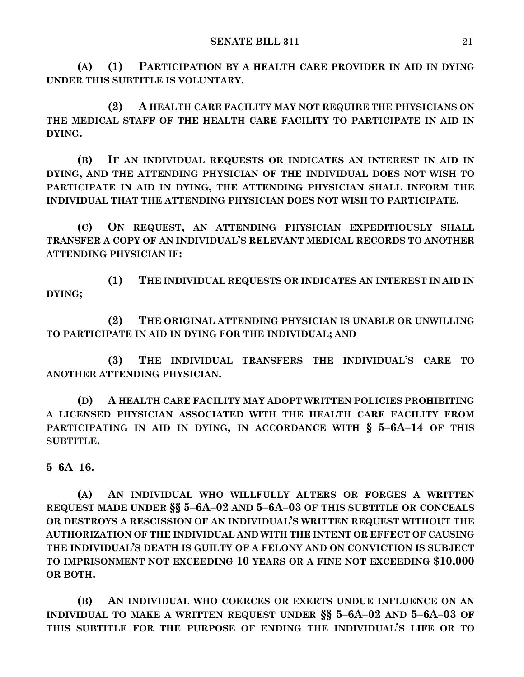**(A) (1) PARTICIPATION BY A HEALTH CARE PROVIDER IN AID IN DYING UNDER THIS SUBTITLE IS VOLUNTARY.**

**(2) A HEALTH CARE FACILITY MAY NOT REQUIRE THE PHYSICIANS ON THE MEDICAL STAFF OF THE HEALTH CARE FACILITY TO PARTICIPATE IN AID IN DYING.**

**(B) IF AN INDIVIDUAL REQUESTS OR INDICATES AN INTEREST IN AID IN DYING, AND THE ATTENDING PHYSICIAN OF THE INDIVIDUAL DOES NOT WISH TO PARTICIPATE IN AID IN DYING, THE ATTENDING PHYSICIAN SHALL INFORM THE INDIVIDUAL THAT THE ATTENDING PHYSICIAN DOES NOT WISH TO PARTICIPATE.**

**(C) ON REQUEST, AN ATTENDING PHYSICIAN EXPEDITIOUSLY SHALL TRANSFER A COPY OF AN INDIVIDUAL'S RELEVANT MEDICAL RECORDS TO ANOTHER ATTENDING PHYSICIAN IF:**

**(1) THE INDIVIDUAL REQUESTS OR INDICATES AN INTEREST IN AID IN DYING;**

**(2) THE ORIGINAL ATTENDING PHYSICIAN IS UNABLE OR UNWILLING TO PARTICIPATE IN AID IN DYING FOR THE INDIVIDUAL; AND** 

**(3) THE INDIVIDUAL TRANSFERS THE INDIVIDUAL'S CARE TO ANOTHER ATTENDING PHYSICIAN.**

**(D) A HEALTH CARE FACILITY MAY ADOPT WRITTEN POLICIES PROHIBITING A LICENSED PHYSICIAN ASSOCIATED WITH THE HEALTH CARE FACILITY FROM PARTICIPATING IN AID IN DYING, IN ACCORDANCE WITH § 5–6A–14 OF THIS SUBTITLE.**

**5–6A–16.**

**(A) AN INDIVIDUAL WHO WILLFULLY ALTERS OR FORGES A WRITTEN REQUEST MADE UNDER §§ 5–6A–02 AND 5–6A–03 OF THIS SUBTITLE OR CONCEALS OR DESTROYS A RESCISSION OF AN INDIVIDUAL'S WRITTEN REQUEST WITHOUT THE AUTHORIZATION OF THE INDIVIDUAL AND WITH THE INTENT OR EFFECT OF CAUSING THE INDIVIDUAL'S DEATH IS GUILTY OF A FELONY AND ON CONVICTION IS SUBJECT TO IMPRISONMENT NOT EXCEEDING 10 YEARS OR A FINE NOT EXCEEDING \$10,000 OR BOTH.**

**(B) AN INDIVIDUAL WHO COERCES OR EXERTS UNDUE INFLUENCE ON AN INDIVIDUAL TO MAKE A WRITTEN REQUEST UNDER §§ 5–6A–02 AND 5–6A–03 OF THIS SUBTITLE FOR THE PURPOSE OF ENDING THE INDIVIDUAL'S LIFE OR TO**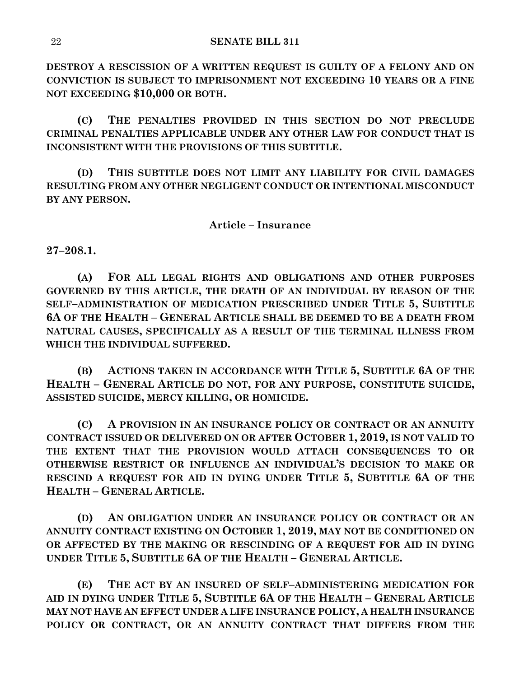**DESTROY A RESCISSION OF A WRITTEN REQUEST IS GUILTY OF A FELONY AND ON CONVICTION IS SUBJECT TO IMPRISONMENT NOT EXCEEDING 10 YEARS OR A FINE NOT EXCEEDING \$10,000 OR BOTH.**

**(C) THE PENALTIES PROVIDED IN THIS SECTION DO NOT PRECLUDE CRIMINAL PENALTIES APPLICABLE UNDER ANY OTHER LAW FOR CONDUCT THAT IS INCONSISTENT WITH THE PROVISIONS OF THIS SUBTITLE.**

**(D) THIS SUBTITLE DOES NOT LIMIT ANY LIABILITY FOR CIVIL DAMAGES RESULTING FROM ANY OTHER NEGLIGENT CONDUCT OR INTENTIONAL MISCONDUCT BY ANY PERSON.**

#### **Article – Insurance**

**27–208.1.**

**(A) FOR ALL LEGAL RIGHTS AND OBLIGATIONS AND OTHER PURPOSES GOVERNED BY THIS ARTICLE, THE DEATH OF AN INDIVIDUAL BY REASON OF THE SELF–ADMINISTRATION OF MEDICATION PRESCRIBED UNDER TITLE 5, SUBTITLE 6A OF THE HEALTH – GENERAL ARTICLE SHALL BE DEEMED TO BE A DEATH FROM NATURAL CAUSES, SPECIFICALLY AS A RESULT OF THE TERMINAL ILLNESS FROM WHICH THE INDIVIDUAL SUFFERED.**

**(B) ACTIONS TAKEN IN ACCORDANCE WITH TITLE 5, SUBTITLE 6A OF THE HEALTH – GENERAL ARTICLE DO NOT, FOR ANY PURPOSE, CONSTITUTE SUICIDE, ASSISTED SUICIDE, MERCY KILLING, OR HOMICIDE.**

**(C) A PROVISION IN AN INSURANCE POLICY OR CONTRACT OR AN ANNUITY CONTRACT ISSUED OR DELIVERED ON OR AFTER OCTOBER 1, 2019, IS NOT VALID TO THE EXTENT THAT THE PROVISION WOULD ATTACH CONSEQUENCES TO OR OTHERWISE RESTRICT OR INFLUENCE AN INDIVIDUAL'S DECISION TO MAKE OR RESCIND A REQUEST FOR AID IN DYING UNDER TITLE 5, SUBTITLE 6A OF THE HEALTH – GENERAL ARTICLE.**

**(D) AN OBLIGATION UNDER AN INSURANCE POLICY OR CONTRACT OR AN ANNUITY CONTRACT EXISTING ON OCTOBER 1, 2019, MAY NOT BE CONDITIONED ON OR AFFECTED BY THE MAKING OR RESCINDING OF A REQUEST FOR AID IN DYING UNDER TITLE 5, SUBTITLE 6A OF THE HEALTH – GENERAL ARTICLE.**

**(E) THE ACT BY AN INSURED OF SELF–ADMINISTERING MEDICATION FOR AID IN DYING UNDER TITLE 5, SUBTITLE 6A OF THE HEALTH – GENERAL ARTICLE MAY NOT HAVE AN EFFECT UNDER A LIFE INSURANCE POLICY, A HEALTH INSURANCE POLICY OR CONTRACT, OR AN ANNUITY CONTRACT THAT DIFFERS FROM THE**